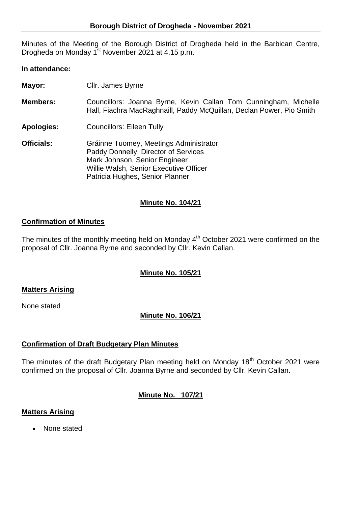Minutes of the Meeting of the Borough District of Drogheda held in the Barbican Centre, Drogheda on Monday 1<sup>st</sup> November 2021 at 4.15 p.m.

#### **In attendance:**

| Mayor:            | Cllr. James Byrne                                                                                                                                                                            |
|-------------------|----------------------------------------------------------------------------------------------------------------------------------------------------------------------------------------------|
| <b>Members:</b>   | Councillors: Joanna Byrne, Kevin Callan Tom Cunningham, Michelle<br>Hall, Fiachra MacRaghnaill, Paddy McQuillan, Declan Power, Pio Smith                                                     |
| <b>Apologies:</b> | <b>Councillors: Eileen Tully</b>                                                                                                                                                             |
| <b>Officials:</b> | Gráinne Tuomey, Meetings Administrator<br>Paddy Donnelly, Director of Services<br>Mark Johnson, Senior Engineer<br>Willie Walsh, Senior Executive Officer<br>Patricia Hughes, Senior Planner |

### **Minute No. 104/21**

#### **Confirmation of Minutes**

The minutes of the monthly meeting held on Monday 4<sup>th</sup> October 2021 were confirmed on the proposal of Cllr. Joanna Byrne and seconded by Cllr. Kevin Callan.

## **Minute No. 105/21**

#### **Matters Arising**

None stated

## **Minute No. 106/21**

#### **Confirmation of Draft Budgetary Plan Minutes**

The minutes of the draft Budgetary Plan meeting held on Monday  $18<sup>th</sup>$  October 2021 were confirmed on the proposal of Cllr. Joanna Byrne and seconded by Cllr. Kevin Callan.

**Minute No. 107/21**

#### **Matters Arising**

• None stated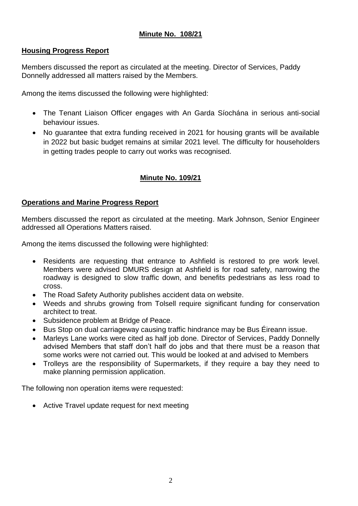# **Minute No. 108/21**

### **Housing Progress Report**

Members discussed the report as circulated at the meeting. Director of Services, Paddy Donnelly addressed all matters raised by the Members.

Among the items discussed the following were highlighted:

- The Tenant Liaison Officer engages with An Garda Síochána in serious anti-social behaviour issues.
- No guarantee that extra funding received in 2021 for housing grants will be available in 2022 but basic budget remains at similar 2021 level. The difficulty for householders in getting trades people to carry out works was recognised.

# **Minute No. 109/21**

### **Operations and Marine Progress Report**

Members discussed the report as circulated at the meeting. Mark Johnson, Senior Engineer addressed all Operations Matters raised.

Among the items discussed the following were highlighted:

- Residents are requesting that entrance to Ashfield is restored to pre work level. Members were advised DMURS design at Ashfield is for road safety, narrowing the roadway is designed to slow traffic down, and benefits pedestrians as less road to cross.
- The Road Safety Authority publishes accident data on website.
- Weeds and shrubs growing from Tolsell require significant funding for conservation architect to treat.
- Subsidence problem at Bridge of Peace.
- Bus Stop on dual carriageway causing traffic hindrance may be Bus Éireann issue.
- Marleys Lane works were cited as half job done. Director of Services, Paddy Donnelly advised Members that staff don't half do jobs and that there must be a reason that some works were not carried out. This would be looked at and advised to Members
- Trolleys are the responsibility of Supermarkets, if they require a bay they need to make planning permission application.

The following non operation items were requested:

Active Travel update request for next meeting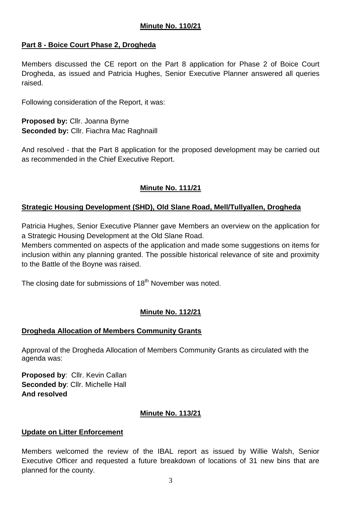# **Part 8 - Boice Court Phase 2, Drogheda**

Members discussed the CE report on the Part 8 application for Phase 2 of Boice Court Drogheda, as issued and Patricia Hughes, Senior Executive Planner answered all queries raised.

Following consideration of the Report, it was:

**Proposed by:** Cllr. Joanna Byrne **Seconded by:** Cllr. Fiachra Mac Raghnaill

And resolved - that the Part 8 application for the proposed development may be carried out as recommended in the Chief Executive Report.

# **Minute No. 111/21**

# **Strategic Housing Development (SHD), Old Slane Road, Mell/Tullyallen, Drogheda**

Patricia Hughes, Senior Executive Planner gave Members an overview on the application for a Strategic Housing Development at the Old Slane Road.

Members commented on aspects of the application and made some suggestions on items for inclusion within any planning granted. The possible historical relevance of site and proximity to the Battle of the Boyne was raised.

The closing date for submissions of  $18<sup>th</sup>$  November was noted.

## **Minute No. 112/21**

## **Drogheda Allocation of Members Community Grants**

Approval of the Drogheda Allocation of Members Community Grants as circulated with the agenda was:

**Proposed by**: Cllr. Kevin Callan **Seconded by**: Cllr. Michelle Hall **And resolved**

#### **Minute No. 113/21**

## **Update on Litter Enforcement**

Members welcomed the review of the IBAL report as issued by Willie Walsh, Senior Executive Officer and requested a future breakdown of locations of 31 new bins that are planned for the county.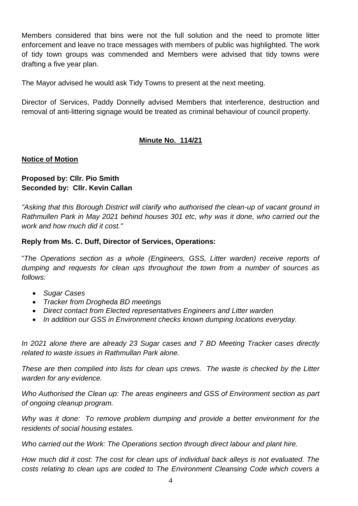Members considered that bins were not the full solution and the need to promote litter enforcement and leave no trace messages with members of public was highlighted. The work of tidy town groups was commended and Members were advised that tidy towns were drafting a five year plan.

The Mayor advised he would ask Tidy Towns to present at the next meeting.

Director of Services, Paddy Donnelly advised Members that interference, destruction and removal of anti-littering signage would be treated as criminal behaviour of council property.

## **Minute No. 114/21**

#### **Notice of Motion**

### **Proposed by: Cllr. Pio Smith Seconded by: Cllr. Kevin Callan**

*"Asking that this Borough District will clarify who authorised the clean-up of vacant ground in Rathmullen Park in May 2021 behind houses 301 etc, why was it done, who carried out the work and how much did it cost."*

## **Reply from Ms. C. Duff, Director of Services, Operations:**

"*The Operations section as a whole (Engineers, GSS, Litter warden) receive reports of dumping and requests for clean ups throughout the town from a number of sources as follows:*

- *Sugar Cases*
- *Tracker from Drogheda BD meetings*
- *Direct contact from Elected representatives Engineers and Litter warden*
- *In addition our GSS in Environment checks known dumping locations everyday.*

*In 2021 alone there are already 23 Sugar cases and 7 BD Meeting Tracker cases directly related to waste issues in Rathmullan Park alone.* 

*These are then complied into lists for clean ups crews. The waste is checked by the Litter warden for any evidence.*

*Who Authorised the Clean up: The areas engineers and GSS of Environment section as part of ongoing cleanup program.* 

*Why was it done: To remove problem dumping and provide a better environment for the residents of social housing estates.* 

*Who carried out the Work: The Operations section through direct labour and plant hire.* 

*How much did it cost: The cost for clean ups of individual back alleys is not evaluated. The costs relating to clean ups are coded to The Environment Cleansing Code which covers a*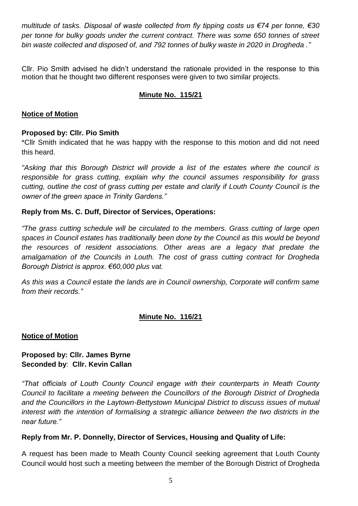*multitude of tasks. Disposal of waste collected from fly tipping costs us €74 per tonne, €30 per tonne for bulky goods under the current contract. There was some 650 tonnes of street bin waste collected and disposed of, and 792 tonnes of bulky waste in 2020 in Drogheda ."*

Cllr. Pio Smith advised he didn't understand the rationale provided in the response to this motion that he thought two different responses were given to two similar projects.

## **Minute No. 115/21**

### **Notice of Motion**

### **Proposed by: Cllr. Pio Smith**

\*Cllr Smith indicated that he was happy with the response to this motion and did not need this heard.

*"Asking that this Borough District will provide a list of the estates where the council is responsible for grass cutting, explain why the council assumes responsibility for grass cutting, outline the cost of grass cutting per estate and clarify if Louth County Council is the owner of the green space in Trinity Gardens."*

### **Reply from Ms. C. Duff, Director of Services, Operations:**

*"The grass cutting schedule will be circulated to the members. Grass cutting of large open spaces in Council estates has traditionally been done by the Council as this would be beyond the resources of resident associations. Other areas are a legacy that predate the amalgamation of the Councils in Louth. The cost of grass cutting contract for Drogheda Borough District is approx. €60,000 plus vat.*

*As this was a Council estate the lands are in Council ownership, Corporate will confirm same from their records."*

## **Minute No. 116/21**

#### **Notice of Motion**

### **Proposed by: Cllr. James Byrne Seconded by**: **Cllr. Kevin Callan**

*"That officials of Louth County Council engage with their counterparts in Meath County Council to facilitate a meeting between the Councillors of the Borough District of Drogheda and the Councillors in the Laytown-Bettystown Municipal District to discuss issues of mutual*  interest with the intention of formalising a strategic alliance between the two districts in the *near future."*

## **Reply from Mr. P. Donnelly, Director of Services, Housing and Quality of Life:**

A request has been made to Meath County Council seeking agreement that Louth County Council would host such a meeting between the member of the Borough District of Drogheda